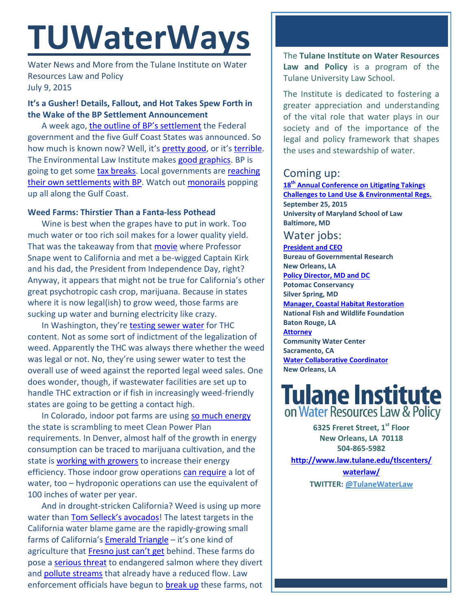# **TUWaterWays**

Water News and More from the Tulane Institute on Water Resources Law and Policy July 9, 2015

### **It's a Gusher! Details, Fallout, and Hot Takes Spew Forth in the Wake of the BP Settlement Announcement**

A week ago, [the outline](http://www.laed.uscourts.gov/OilSpill/Orders/070215ConfidentialityOrderReSettlementDocuments.pdf) of BP's settlement the Federal government and the five Gulf Coast States was announced. So how much is known now? Well, it's [pretty good,](http://www.nytimes.com/2015/07/08/opinion/bp-deal-will-lead-to-a-cleaner-gulf.html?_r=1) or it'[s terrible.](http://thelensnola.org/2015/07/09/bp-settlement-tens-of-millions-for-lawyers-not-nearly-enough-for-the-coast/) The Environmental Law Institute makes [good graphics.](http://eli-ocean.org/gulf/agreement/) BP is going to get some [tax breaks.](http://www.nola.com/politics/index.ssf/2015/07/bp_settlement_tax_breaks.html#incart_most_shared-environment) Local governments are [reaching](http://www.nola.com/politics/index.ssf/2015/07/3_million_windfall_coming_slid.html#incart_river) [their own settlements](http://www.nola.com/politics/index.ssf/2015/07/st_bernard_accepts_about_93_mi.html) [with BP.](http://www.nola.com/education/index.ssf/2015/07/23_million_bp_settlement_okd_b.html#incart_river) Watch out [monorails](https://www.youtube.com/watch?v=xHvFUwHyWR0) popping up all along the Gulf Coast.

#### **Weed Farms: Thirstier Than a Fanta-less Pothead**

Wine is best when the grapes have to put in work. Too much water or too rich soil makes for a lower quality yield. That was the takeaway from that [movie](https://www.youtube.com/watch?v=DYs0kblXToA) where Professor Snape went to California and met a be-wigged Captain Kirk and his dad, the President from Independence Day, right? Anyway, it appears that might not be true for California's other great psychotropic cash crop, marijuana. Because in states where it is now legal(ish) to grow weed, those farms are sucking up water and burning electricity like crazy.

In Washington, they're [testing sewer water](http://www.kplu.org/post/pot-sewage-water-reveals-our-marijuana-habits) for THC content. Not as some sort of indictment of the legalization of weed. Apparently the THC was always there whether the weed was legal or not. No, they're using sewer water to test the overall use of weed against the reported legal weed sales. One does wonder, though, if wastewater facilities are set up to handle THC extraction or if fish in increasingly weed-friendly states are going to be getting a contact high.

In Colorado, indoor pot farms are using [so much energy](http://www.denverpost.com/environment/ci_28417456/pot-boom-spikes-denver-electric-demand-challenges-clean) the state is scrambling to meet Clean Power Plan requirements. In Denver, almost half of the growth in energy consumption can be traced to marijuana cultivation, and the state is [working with growers](http://www.citylab.com/design/2015/07/weed-growers-are-a-drag-on-denvers-energy-supply/397805/) to increase their energy efficiency. Those indoor grow operations [can require](http://www.columbiaenvironmentallaw.org/assets/warren-MACRO-FINAL.pdf) a lot of water, too – hydroponic operations can use the equivalent of 100 inches of water per year.

And in drought-stricken California? Weed is using up more water than [Tom Selleck](http://www.courthousenews.com/2015/07/07/district-drought-shames-tom-selleck-in-court.htm)'s avocados! The latest targets in the California water blame game are the rapidly-growing small farms of California's [Emerald Triangle](https://en.wikipedia.org/wiki/Emerald_Triangle) – it's one kind of agriculture that [Fresno just can](http://www.fresnobee.com/opinion/editorials/article26291950.html)'t get behind. These farms do pose a [serious threat](http://www.scientificamerican.com/article/california-s-50-000-pot-farms-are-sucking-rivers-dry/) to endangered salmon where they divert and [pollute streams](http://phys.org/news/2015-06-environment-big-water-intensive-marijuana-cultivation.html) that already have a reduced flow. Law enforcement officials have begun to [break up](http://www.pressdemocrat.com/news/4117382-181/pot-raids-uncover-egregious-environmental?page=2) these farms, not

The **Tulane Institute on Water Resources Law and Policy** is a program of the Tulane University Law School.

The Institute is dedicated to fostering a greater appreciation and understanding of the vital role that water plays in our society and of the importance of the legal and policy framework that shapes the uses and stewardship of water.

## Coming up:

**18th [Annual Conference on Litigating Takings](http://forms.vermontlaw.edu/elc/landuse/Takings15/)  [Challenges to Land Use & Environmental Regs.](http://forms.vermontlaw.edu/elc/landuse/Takings15/) September 25, 2015 University of Maryland School of Law Baltimore, MD**

# Water jobs:

**[President and CEO](http://www.bgr.org/announcements/archives/president-and-ceo-search) Bureau of Governmental Research New Orleans, LA [Policy Director, MD and DC](https://static1.squarespace.com/static/52260563e4b0e56a47d7efa6/t/556dfc08e4b01f283c968028/1433271304422/2015+Policy+Director+-+MDDC.pdf) Potomac Conservancy Silver Spring, MD [Manager, Coastal Habitat Restoration](http://www.nfwf.org/whoweare/careers/Pages/manager-coastal.aspx#.VUorEo5Vikp) National Fish and Wildlife Foundation Baton Rouge, LA [Attorney](http://www.communitywatercenter.org/career_opportunities) Community Water Center Sacramento, CA [Water Collaborative Coordinator](http://nolawater.org/2015/06/15/104/) New Orleans, LA**

# **Tulane Institute** on Water Resources Law & Policy

**6325 Freret Street, 1st Floor New Orleans, LA 70118 504-865-5982** 

**[http://www.law.tulane.edu/tlscenters/](http://www.law.tulane.edu/tlscenters/waterlaw/) [waterlaw/](http://www.law.tulane.edu/tlscenters/waterlaw/) TWITTER: [@TulaneWaterLaw](http://www.twitter.com/TulaneWaterLaw)**